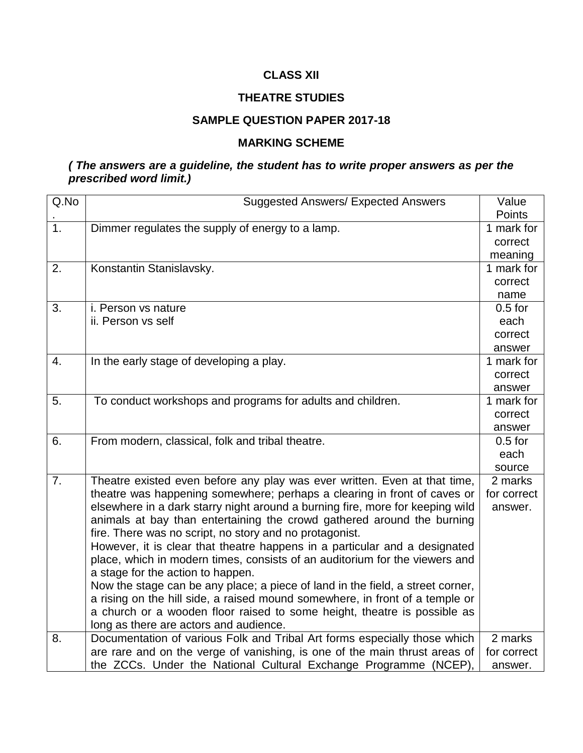# **CLASS XII**

# **THEATRE STUDIES**

#### **SAMPLE QUESTION PAPER 2017-18**

## **MARKING SCHEME**

# *( The answers are a guideline, the student has to write proper answers as per the prescribed word limit.)*

| Q.No             | <b>Suggested Answers/ Expected Answers</b>                                                                          | Value       |
|------------------|---------------------------------------------------------------------------------------------------------------------|-------------|
|                  |                                                                                                                     | Points      |
| $\overline{1}$ . | Dimmer regulates the supply of energy to a lamp.                                                                    | 1 mark for  |
|                  |                                                                                                                     | correct     |
|                  |                                                                                                                     | meaning     |
| 2.               | Konstantin Stanislavsky.                                                                                            | 1 mark for  |
|                  |                                                                                                                     | correct     |
|                  |                                                                                                                     | name        |
| 3.               | i. Person vs nature                                                                                                 | $0.5$ for   |
|                  | ii. Person vs self                                                                                                  | each        |
|                  |                                                                                                                     | correct     |
|                  |                                                                                                                     | answer      |
| 4.               | In the early stage of developing a play.                                                                            | 1 mark for  |
|                  |                                                                                                                     | correct     |
|                  |                                                                                                                     | answer      |
| 5.               | To conduct workshops and programs for adults and children.                                                          | 1 mark for  |
|                  |                                                                                                                     | correct     |
|                  |                                                                                                                     | answer      |
| 6.               | From modern, classical, folk and tribal theatre.                                                                    | $0.5$ for   |
|                  |                                                                                                                     | each        |
|                  |                                                                                                                     | source      |
| 7.               | Theatre existed even before any play was ever written. Even at that time,                                           | 2 marks     |
|                  | theatre was happening somewhere; perhaps a clearing in front of caves or                                            | for correct |
|                  | elsewhere in a dark starry night around a burning fire, more for keeping wild                                       | answer.     |
|                  | animals at bay than entertaining the crowd gathered around the burning                                              |             |
|                  | fire. There was no script, no story and no protagonist.                                                             |             |
|                  | However, it is clear that theatre happens in a particular and a designated                                          |             |
|                  | place, which in modern times, consists of an auditorium for the viewers and                                         |             |
|                  | a stage for the action to happen.<br>Now the stage can be any place; a piece of land in the field, a street corner, |             |
|                  | a rising on the hill side, a raised mound somewhere, in front of a temple or                                        |             |
|                  | a church or a wooden floor raised to some height, theatre is possible as                                            |             |
|                  | long as there are actors and audience.                                                                              |             |
| 8.               | Documentation of various Folk and Tribal Art forms especially those which                                           | 2 marks     |
|                  | are rare and on the verge of vanishing, is one of the main thrust areas of                                          | for correct |
|                  | the ZCCs. Under the National Cultural Exchange Programme (NCEP),                                                    | answer.     |
|                  |                                                                                                                     |             |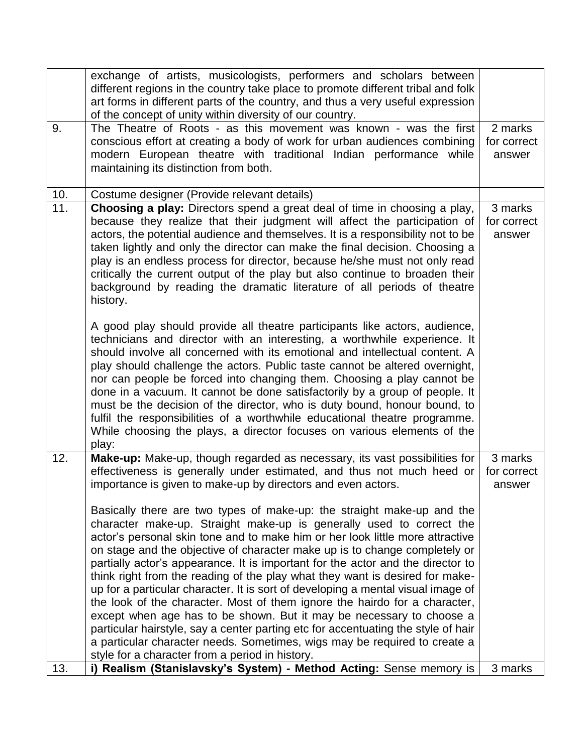|     | exchange of artists, musicologists, performers and scholars between<br>different regions in the country take place to promote different tribal and folk<br>art forms in different parts of the country, and thus a very useful expression<br>of the concept of unity within diversity of our country.                                                                                                                                                                                                                                                                                                                                                                                                                                                                                                                                                                                                                                           |                                  |
|-----|-------------------------------------------------------------------------------------------------------------------------------------------------------------------------------------------------------------------------------------------------------------------------------------------------------------------------------------------------------------------------------------------------------------------------------------------------------------------------------------------------------------------------------------------------------------------------------------------------------------------------------------------------------------------------------------------------------------------------------------------------------------------------------------------------------------------------------------------------------------------------------------------------------------------------------------------------|----------------------------------|
| 9.  | The Theatre of Roots - as this movement was known - was the first<br>conscious effort at creating a body of work for urban audiences combining<br>modern European theatre with traditional Indian performance<br>while<br>maintaining its distinction from both.                                                                                                                                                                                                                                                                                                                                                                                                                                                                                                                                                                                                                                                                                | 2 marks<br>for correct<br>answer |
| 10. | Costume designer (Provide relevant details)                                                                                                                                                                                                                                                                                                                                                                                                                                                                                                                                                                                                                                                                                                                                                                                                                                                                                                     |                                  |
| 11. | Choosing a play: Directors spend a great deal of time in choosing a play,<br>because they realize that their judgment will affect the participation of<br>actors, the potential audience and themselves. It is a responsibility not to be<br>taken lightly and only the director can make the final decision. Choosing a<br>play is an endless process for director, because he/she must not only read<br>critically the current output of the play but also continue to broaden their<br>background by reading the dramatic literature of all periods of theatre<br>history.                                                                                                                                                                                                                                                                                                                                                                   | 3 marks<br>for correct<br>answer |
|     | A good play should provide all theatre participants like actors, audience,<br>technicians and director with an interesting, a worthwhile experience. It<br>should involve all concerned with its emotional and intellectual content. A<br>play should challenge the actors. Public taste cannot be altered overnight,<br>nor can people be forced into changing them. Choosing a play cannot be<br>done in a vacuum. It cannot be done satisfactorily by a group of people. It<br>must be the decision of the director, who is duty bound, honour bound, to<br>fulfil the responsibilities of a worthwhile educational theatre programme.<br>While choosing the plays, a director focuses on various elements of the<br>play:                                                                                                                                                                                                                   |                                  |
| 12. | Make-up: Make-up, though regarded as necessary, its vast possibilities for<br>effectiveness is generally under estimated, and thus not much heed or<br>importance is given to make-up by directors and even actors.                                                                                                                                                                                                                                                                                                                                                                                                                                                                                                                                                                                                                                                                                                                             | 3 marks<br>for correct<br>answer |
|     | Basically there are two types of make-up: the straight make-up and the<br>character make-up. Straight make-up is generally used to correct the<br>actor's personal skin tone and to make him or her look little more attractive<br>on stage and the objective of character make up is to change completely or<br>partially actor's appearance. It is important for the actor and the director to<br>think right from the reading of the play what they want is desired for make-<br>up for a particular character. It is sort of developing a mental visual image of<br>the look of the character. Most of them ignore the hairdo for a character,<br>except when age has to be shown. But it may be necessary to choose a<br>particular hairstyle, say a center parting etc for accentuating the style of hair<br>a particular character needs. Sometimes, wigs may be required to create a<br>style for a character from a period in history. |                                  |
| 13. | i) Realism (Stanislavsky's System) - Method Acting: Sense memory is                                                                                                                                                                                                                                                                                                                                                                                                                                                                                                                                                                                                                                                                                                                                                                                                                                                                             | 3 marks                          |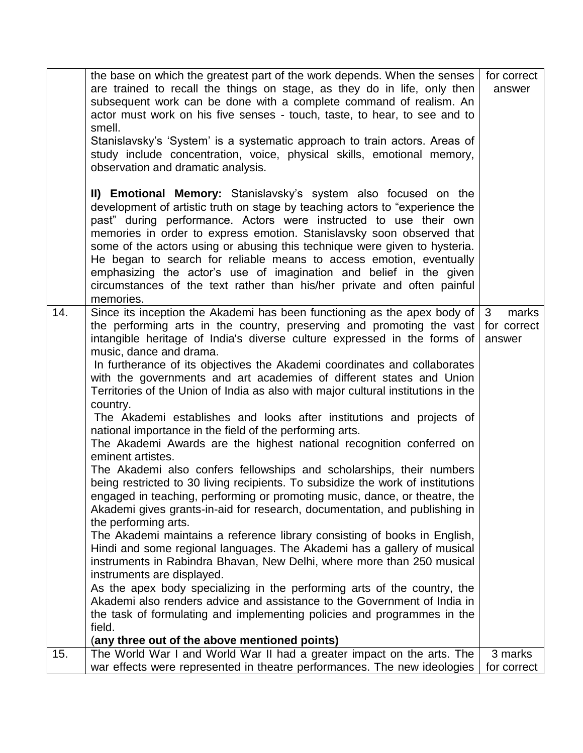|     | the base on which the greatest part of the work depends. When the senses<br>are trained to recall the things on stage, as they do in life, only then<br>subsequent work can be done with a complete command of realism. An<br>actor must work on his five senses - touch, taste, to hear, to see and to<br>smell.<br>Stanislavsky's 'System' is a systematic approach to train actors. Areas of<br>study include concentration, voice, physical skills, emotional memory,<br>observation and dramatic analysis.<br>II) Emotional Memory: Stanislavsky's system also focused on the                                                                                                                                                                                                                                                                                                                                                                                                                                                                                                                                                                                                                                                                                                                                                                                                                                                                                                                                                                                                                                                                           | for correct<br>answer                          |
|-----|--------------------------------------------------------------------------------------------------------------------------------------------------------------------------------------------------------------------------------------------------------------------------------------------------------------------------------------------------------------------------------------------------------------------------------------------------------------------------------------------------------------------------------------------------------------------------------------------------------------------------------------------------------------------------------------------------------------------------------------------------------------------------------------------------------------------------------------------------------------------------------------------------------------------------------------------------------------------------------------------------------------------------------------------------------------------------------------------------------------------------------------------------------------------------------------------------------------------------------------------------------------------------------------------------------------------------------------------------------------------------------------------------------------------------------------------------------------------------------------------------------------------------------------------------------------------------------------------------------------------------------------------------------------|------------------------------------------------|
|     | development of artistic truth on stage by teaching actors to "experience the<br>past" during performance. Actors were instructed to use their own<br>memories in order to express emotion. Stanislavsky soon observed that<br>some of the actors using or abusing this technique were given to hysteria.<br>He began to search for reliable means to access emotion, eventually<br>emphasizing the actor's use of imagination and belief in the given<br>circumstances of the text rather than his/her private and often painful<br>memories.                                                                                                                                                                                                                                                                                                                                                                                                                                                                                                                                                                                                                                                                                                                                                                                                                                                                                                                                                                                                                                                                                                                |                                                |
| 14. | Since its inception the Akademi has been functioning as the apex body of<br>the performing arts in the country, preserving and promoting the vast<br>intangible heritage of India's diverse culture expressed in the forms of<br>music, dance and drama.<br>In furtherance of its objectives the Akademi coordinates and collaborates<br>with the governments and art academies of different states and Union<br>Territories of the Union of India as also with major cultural institutions in the<br>country.<br>The Akademi establishes and looks after institutions and projects of<br>national importance in the field of the performing arts.<br>The Akademi Awards are the highest national recognition conferred on<br>eminent artistes.<br>The Akademi also confers fellowships and scholarships, their numbers<br>being restricted to 30 living recipients. To subsidize the work of institutions<br>engaged in teaching, performing or promoting music, dance, or theatre, the<br>Akademi gives grants-in-aid for research, documentation, and publishing in<br>the performing arts.<br>The Akademi maintains a reference library consisting of books in English,<br>Hindi and some regional languages. The Akademi has a gallery of musical<br>instruments in Rabindra Bhavan, New Delhi, where more than 250 musical<br>instruments are displayed.<br>As the apex body specializing in the performing arts of the country, the<br>Akademi also renders advice and assistance to the Government of India in<br>the task of formulating and implementing policies and programmes in the<br>field.<br>(any three out of the above mentioned points) | $\mathbf{3}$<br>marks<br>for correct<br>answer |
| 15. | The World War I and World War II had a greater impact on the arts. The                                                                                                                                                                                                                                                                                                                                                                                                                                                                                                                                                                                                                                                                                                                                                                                                                                                                                                                                                                                                                                                                                                                                                                                                                                                                                                                                                                                                                                                                                                                                                                                       | 3 marks                                        |
|     | war effects were represented in theatre performances. The new ideologies                                                                                                                                                                                                                                                                                                                                                                                                                                                                                                                                                                                                                                                                                                                                                                                                                                                                                                                                                                                                                                                                                                                                                                                                                                                                                                                                                                                                                                                                                                                                                                                     | for correct                                    |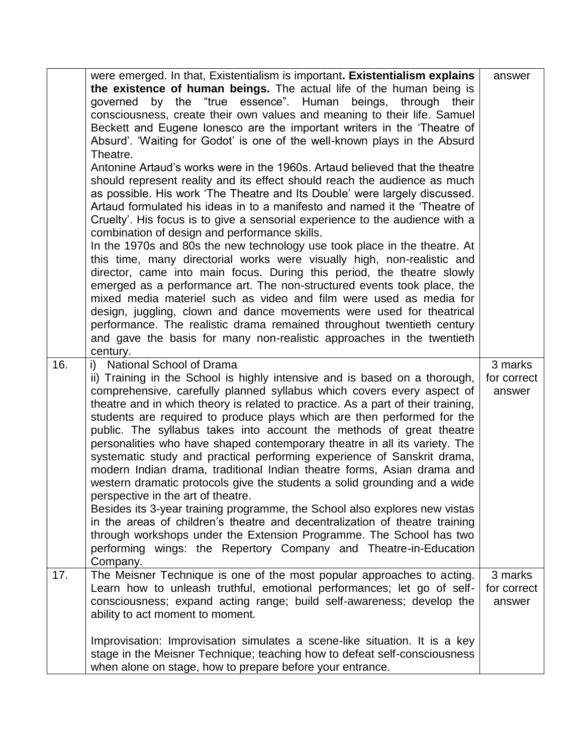|     | were emerged. In that, Existentialism is important. Existentialism explains<br>the existence of human beings. The actual life of the human being is<br>the "true essence".<br>Human<br>beings,<br>through their<br>governed<br>by<br>consciousness, create their own values and meaning to their life. Samuel<br>Beckett and Eugene lonesco are the important writers in the 'Theatre of<br>Absurd'. 'Waiting for Godot' is one of the well-known plays in the Absurd<br>Theatre.<br>Antonine Artaud's works were in the 1960s. Artaud believed that the theatre<br>should represent reality and its effect should reach the audience as much<br>as possible. His work 'The Theatre and Its Double' were largely discussed.<br>Artaud formulated his ideas in to a manifesto and named it the 'Theatre of<br>Cruelty'. His focus is to give a sensorial experience to the audience with a<br>combination of design and performance skills.<br>In the 1970s and 80s the new technology use took place in the theatre. At<br>this time, many directorial works were visually high, non-realistic and<br>director, came into main focus. During this period, the theatre slowly<br>emerged as a performance art. The non-structured events took place, the<br>mixed media materiel such as video and film were used as media for<br>design, juggling, clown and dance movements were used for theatrical<br>performance. The realistic drama remained throughout twentieth century<br>and gave the basis for many non-realistic approaches in the twentieth<br>century. | answer                           |
|-----|----------------------------------------------------------------------------------------------------------------------------------------------------------------------------------------------------------------------------------------------------------------------------------------------------------------------------------------------------------------------------------------------------------------------------------------------------------------------------------------------------------------------------------------------------------------------------------------------------------------------------------------------------------------------------------------------------------------------------------------------------------------------------------------------------------------------------------------------------------------------------------------------------------------------------------------------------------------------------------------------------------------------------------------------------------------------------------------------------------------------------------------------------------------------------------------------------------------------------------------------------------------------------------------------------------------------------------------------------------------------------------------------------------------------------------------------------------------------------------------------------------------------------------------------------------------------|----------------------------------|
| 16. | i) National School of Drama<br>ii) Training in the School is highly intensive and is based on a thorough,<br>comprehensive, carefully planned syllabus which covers every aspect of<br>theatre and in which theory is related to practice. As a part of their training,<br>students are required to produce plays which are then performed for the<br>public. The syllabus takes into account the methods of great theatre<br>personalities who have shaped contemporary theatre in all its variety. The<br>systematic study and practical performing experience of Sanskrit drama,<br>modern Indian drama, traditional Indian theatre forms, Asian drama and<br>western dramatic protocols give the students a solid grounding and a wide<br>perspective in the art of theatre.<br>Besides its 3-year training programme, the School also explores new vistas<br>in the areas of children's theatre and decentralization of theatre training<br>through workshops under the Extension Programme. The School has two<br>performing wings: the Repertory Company and Theatre-in-Education<br>Company.                                                                                                                                                                                                                                                                                                                                                                                                                                                                 | 3 marks<br>for correct<br>answer |
| 17. | The Meisner Technique is one of the most popular approaches to acting.<br>Learn how to unleash truthful, emotional performances; let go of self-<br>consciousness; expand acting range; build self-awareness; develop the<br>ability to act moment to moment.<br>Improvisation: Improvisation simulates a scene-like situation. It is a key<br>stage in the Meisner Technique; teaching how to defeat self-consciousness<br>when alone on stage, how to prepare before your entrance.                                                                                                                                                                                                                                                                                                                                                                                                                                                                                                                                                                                                                                                                                                                                                                                                                                                                                                                                                                                                                                                                                | 3 marks<br>for correct<br>answer |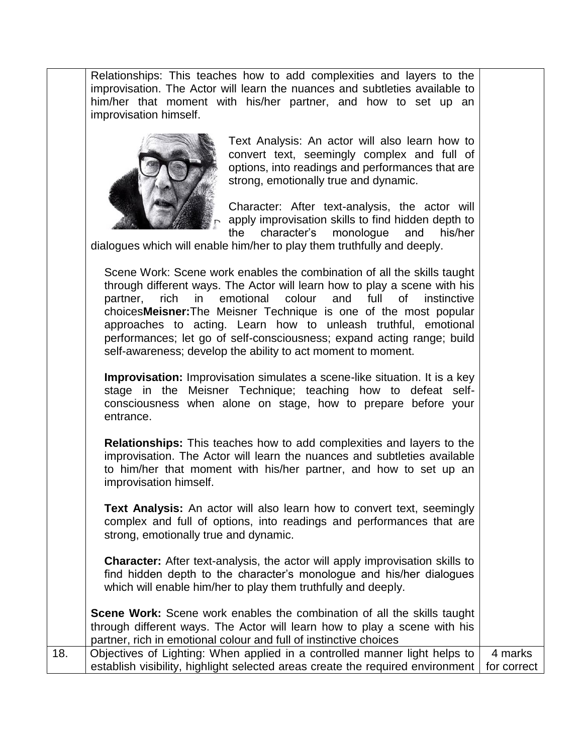Relationships: This teaches how to add complexities and layers to the improvisation. The Actor will learn the nuances and subtleties available to him/her that moment with his/her partner, and how to set up an improvisation himself.



Text Analysis: An actor will also learn how to convert text, seemingly complex and full of options, into readings and performances that are strong, emotionally true and dynamic.

Character: After text-analysis, the actor will apply improvisation skills to find hidden depth to the character's monologue and his/her

dialogues which will enable him/her to play them truthfully and deeply.

Scene Work: Scene work enables the combination of all the skills taught through different ways. The Actor will learn how to play a scene with his partner, rich in emotional colour and full of instinctive choices**Meisner:**The Meisner Technique is one of the most popular approaches to acting. Learn how to unleash truthful, emotional performances; let go of self-consciousness; expand acting range; build self-awareness; develop the ability to act moment to moment.

**Improvisation:** Improvisation simulates a scene-like situation. It is a key stage in the Meisner Technique; teaching how to defeat selfconsciousness when alone on stage, how to prepare before your entrance.

**Relationships:** This teaches how to add complexities and layers to the improvisation. The Actor will learn the nuances and subtleties available to him/her that moment with his/her partner, and how to set up an improvisation himself.

**Text Analysis:** An actor will also learn how to convert text, seemingly complex and full of options, into readings and performances that are strong, emotionally true and dynamic.

**Character:** After text-analysis, the actor will apply improvisation skills to find hidden depth to the character's monologue and his/her dialogues which will enable him/her to play them truthfully and deeply.

**Scene Work:** Scene work enables the combination of all the skills taught through different ways. The Actor will learn how to play a scene with his partner, rich in emotional colour and full of instinctive choices 18. Objectives of Lighting: When applied in a controlled manner light helps to establish visibility, highlight selected areas create the required environment 4 marks for correct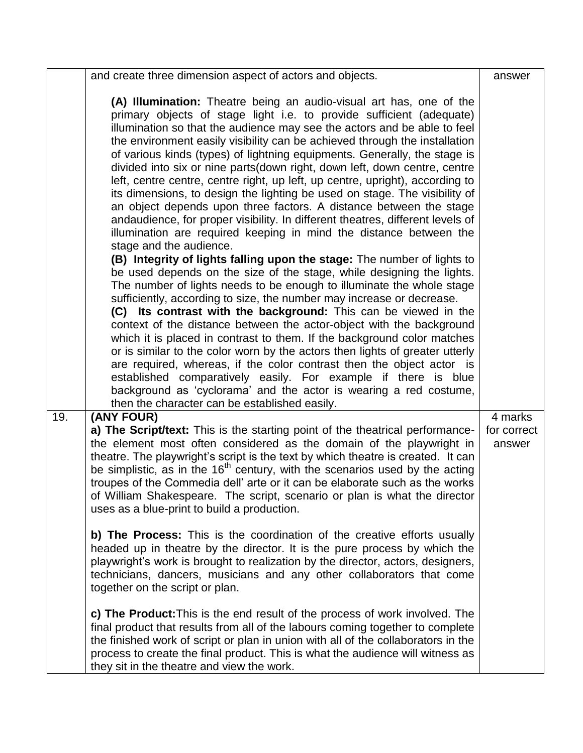|                                                      | and create three dimension aspect of actors and objects.                                                                                                                                                                                                                                                                                                                                                                                                                                                                                                                                                                                                                                                                                                                                                                                                                                                                                                                                                                                                                                                                                                                                                                                                                                                                                                                                                                                                                                                                                                                                                                                                                                                                                  | answer                           |
|------------------------------------------------------|-------------------------------------------------------------------------------------------------------------------------------------------------------------------------------------------------------------------------------------------------------------------------------------------------------------------------------------------------------------------------------------------------------------------------------------------------------------------------------------------------------------------------------------------------------------------------------------------------------------------------------------------------------------------------------------------------------------------------------------------------------------------------------------------------------------------------------------------------------------------------------------------------------------------------------------------------------------------------------------------------------------------------------------------------------------------------------------------------------------------------------------------------------------------------------------------------------------------------------------------------------------------------------------------------------------------------------------------------------------------------------------------------------------------------------------------------------------------------------------------------------------------------------------------------------------------------------------------------------------------------------------------------------------------------------------------------------------------------------------------|----------------------------------|
| stage and the audience.                              | (A) Illumination: Theatre being an audio-visual art has, one of the<br>primary objects of stage light i.e. to provide sufficient (adequate)<br>illumination so that the audience may see the actors and be able to feel<br>the environment easily visibility can be achieved through the installation<br>of various kinds (types) of lightning equipments. Generally, the stage is<br>divided into six or nine parts(down right, down left, down centre, centre<br>left, centre centre, centre right, up left, up centre, upright), according to<br>its dimensions, to design the lighting be used on stage. The visibility of<br>an object depends upon three factors. A distance between the stage<br>andaudience, for proper visibility. In different theatres, different levels of<br>illumination are required keeping in mind the distance between the<br>(B) Integrity of lights falling upon the stage: The number of lights to<br>be used depends on the size of the stage, while designing the lights.<br>The number of lights needs to be enough to illuminate the whole stage<br>sufficiently, according to size, the number may increase or decrease.<br>(C) Its contrast with the background: This can be viewed in the<br>context of the distance between the actor-object with the background<br>which it is placed in contrast to them. If the background color matches<br>or is similar to the color worn by the actors then lights of greater utterly<br>are required, whereas, if the color contrast then the object actor is<br>established comparatively easily. For example if there is blue<br>background as 'cyclorama' and the actor is wearing a red costume,<br>then the character can be established easily. |                                  |
| 19.<br>(ANY FOUR)<br>together on the script or plan. | a) The Script/text: This is the starting point of the theatrical performance-<br>the element most often considered as the domain of the playwright in<br>theatre. The playwright's script is the text by which theatre is created. It can<br>be simplistic, as in the $16th$ century, with the scenarios used by the acting<br>troupes of the Commedia dell' arte or it can be elaborate such as the works<br>of William Shakespeare. The script, scenario or plan is what the director<br>uses as a blue-print to build a production.<br>b) The Process: This is the coordination of the creative efforts usually<br>headed up in theatre by the director. It is the pure process by which the<br>playwright's work is brought to realization by the director, actors, designers,<br>technicians, dancers, musicians and any other collaborators that come<br>c) The Product: This is the end result of the process of work involved. The<br>final product that results from all of the labours coming together to complete                                                                                                                                                                                                                                                                                                                                                                                                                                                                                                                                                                                                                                                                                                              | 4 marks<br>for correct<br>answer |
|                                                      | the finished work of script or plan in union with all of the collaborators in the<br>process to create the final product. This is what the audience will witness as<br>they sit in the theatre and view the work.                                                                                                                                                                                                                                                                                                                                                                                                                                                                                                                                                                                                                                                                                                                                                                                                                                                                                                                                                                                                                                                                                                                                                                                                                                                                                                                                                                                                                                                                                                                         |                                  |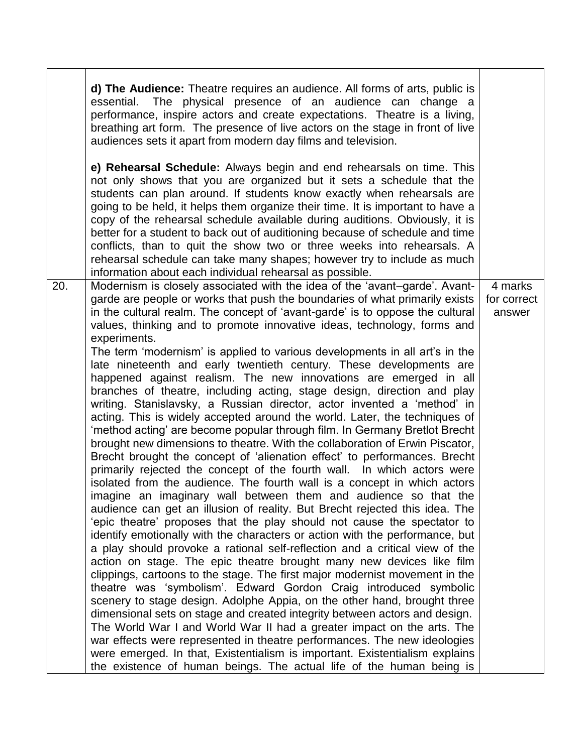|     | d) The Audience: Theatre requires an audience. All forms of arts, public is<br>essential. The physical presence of an audience can change a<br>performance, inspire actors and create expectations. Theatre is a living,<br>breathing art form. The presence of live actors on the stage in front of live<br>audiences sets it apart from modern day films and television.                                                                                                                                                                                                                                                                                                                                                                                                                                                                                                                                                                                                                                                                                                                                                                                                                                                                                                                                                                                                                                                                                                                                                                                                                                                                                                                                                                                                                                                                                                                                                                                                                                                                                                                                                                                                                                                                                                                          |                                  |
|-----|-----------------------------------------------------------------------------------------------------------------------------------------------------------------------------------------------------------------------------------------------------------------------------------------------------------------------------------------------------------------------------------------------------------------------------------------------------------------------------------------------------------------------------------------------------------------------------------------------------------------------------------------------------------------------------------------------------------------------------------------------------------------------------------------------------------------------------------------------------------------------------------------------------------------------------------------------------------------------------------------------------------------------------------------------------------------------------------------------------------------------------------------------------------------------------------------------------------------------------------------------------------------------------------------------------------------------------------------------------------------------------------------------------------------------------------------------------------------------------------------------------------------------------------------------------------------------------------------------------------------------------------------------------------------------------------------------------------------------------------------------------------------------------------------------------------------------------------------------------------------------------------------------------------------------------------------------------------------------------------------------------------------------------------------------------------------------------------------------------------------------------------------------------------------------------------------------------------------------------------------------------------------------------------------------------|----------------------------------|
|     | e) Rehearsal Schedule: Always begin and end rehearsals on time. This<br>not only shows that you are organized but it sets a schedule that the<br>students can plan around. If students know exactly when rehearsals are<br>going to be held, it helps them organize their time. It is important to have a<br>copy of the rehearsal schedule available during auditions. Obviously, it is<br>better for a student to back out of auditioning because of schedule and time<br>conflicts, than to quit the show two or three weeks into rehearsals. A<br>rehearsal schedule can take many shapes; however try to include as much<br>information about each individual rehearsal as possible.                                                                                                                                                                                                                                                                                                                                                                                                                                                                                                                                                                                                                                                                                                                                                                                                                                                                                                                                                                                                                                                                                                                                                                                                                                                                                                                                                                                                                                                                                                                                                                                                           |                                  |
| 20. | Modernism is closely associated with the idea of the 'avant-garde'. Avant-<br>garde are people or works that push the boundaries of what primarily exists<br>in the cultural realm. The concept of 'avant-garde' is to oppose the cultural<br>values, thinking and to promote innovative ideas, technology, forms and<br>experiments.<br>The term 'modernism' is applied to various developments in all art's in the<br>late nineteenth and early twentieth century. These developments are<br>happened against realism. The new innovations are emerged in all<br>branches of theatre, including acting, stage design, direction and play<br>writing. Stanislavsky, a Russian director, actor invented a 'method' in<br>acting. This is widely accepted around the world. Later, the techniques of<br>'method acting' are become popular through film. In Germany Bretlot Brecht<br>brought new dimensions to theatre. With the collaboration of Erwin Piscator,<br>Brecht brought the concept of 'alienation effect' to performances. Brecht<br>primarily rejected the concept of the fourth wall. In which actors were<br>isolated from the audience. The fourth wall is a concept in which actors<br>imagine an imaginary wall between them and audience so that the<br>audience can get an illusion of reality. But Brecht rejected this idea. The<br>'epic theatre' proposes that the play should not cause the spectator to<br>identify emotionally with the characters or action with the performance, but<br>a play should provoke a rational self-reflection and a critical view of the<br>action on stage. The epic theatre brought many new devices like film<br>clippings, cartoons to the stage. The first major modernist movement in the<br>theatre was 'symbolism'. Edward Gordon Craig introduced symbolic<br>scenery to stage design. Adolphe Appia, on the other hand, brought three<br>dimensional sets on stage and created integrity between actors and design.<br>The World War I and World War II had a greater impact on the arts. The<br>war effects were represented in theatre performances. The new ideologies<br>were emerged. In that, Existentialism is important. Existentialism explains<br>the existence of human beings. The actual life of the human being is | 4 marks<br>for correct<br>answer |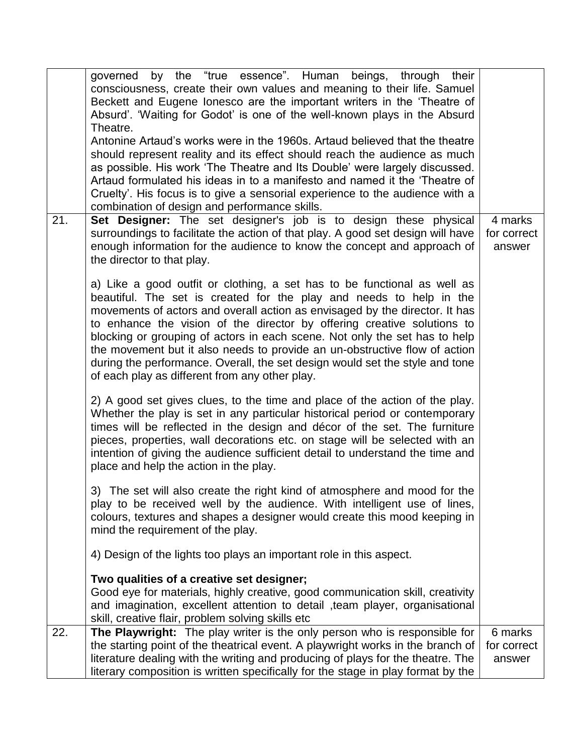|     | by the "true essence". Human beings, through<br>their<br>governed<br>consciousness, create their own values and meaning to their life. Samuel<br>Beckett and Eugene lonesco are the important writers in the 'Theatre of<br>Absurd'. 'Waiting for Godot' is one of the well-known plays in the Absurd<br>Theatre.<br>Antonine Artaud's works were in the 1960s. Artaud believed that the theatre<br>should represent reality and its effect should reach the audience as much<br>as possible. His work 'The Theatre and Its Double' were largely discussed.<br>Artaud formulated his ideas in to a manifesto and named it the 'Theatre of<br>Cruelty'. His focus is to give a sensorial experience to the audience with a |                                  |
|-----|---------------------------------------------------------------------------------------------------------------------------------------------------------------------------------------------------------------------------------------------------------------------------------------------------------------------------------------------------------------------------------------------------------------------------------------------------------------------------------------------------------------------------------------------------------------------------------------------------------------------------------------------------------------------------------------------------------------------------|----------------------------------|
| 21. | combination of design and performance skills.<br>Set Designer: The set designer's job is to design these physical<br>surroundings to facilitate the action of that play. A good set design will have<br>enough information for the audience to know the concept and approach of<br>the director to that play.                                                                                                                                                                                                                                                                                                                                                                                                             | 4 marks<br>for correct<br>answer |
|     | a) Like a good outfit or clothing, a set has to be functional as well as<br>beautiful. The set is created for the play and needs to help in the<br>movements of actors and overall action as envisaged by the director. It has<br>to enhance the vision of the director by offering creative solutions to<br>blocking or grouping of actors in each scene. Not only the set has to help<br>the movement but it also needs to provide an un-obstructive flow of action<br>during the performance. Overall, the set design would set the style and tone<br>of each play as different from any other play.                                                                                                                   |                                  |
|     | 2) A good set gives clues, to the time and place of the action of the play.<br>Whether the play is set in any particular historical period or contemporary<br>times will be reflected in the design and décor of the set. The furniture<br>pieces, properties, wall decorations etc. on stage will be selected with an<br>intention of giving the audience sufficient detail to understand the time and<br>place and help the action in the play.                                                                                                                                                                                                                                                                         |                                  |
|     | 3) The set will also create the right kind of atmosphere and mood for the<br>play to be received well by the audience. With intelligent use of lines,<br>colours, textures and shapes a designer would create this mood keeping in<br>mind the requirement of the play.                                                                                                                                                                                                                                                                                                                                                                                                                                                   |                                  |
|     | 4) Design of the lights too plays an important role in this aspect.                                                                                                                                                                                                                                                                                                                                                                                                                                                                                                                                                                                                                                                       |                                  |
|     | Two qualities of a creative set designer;<br>Good eye for materials, highly creative, good communication skill, creativity<br>and imagination, excellent attention to detail , team player, organisational<br>skill, creative flair, problem solving skills etc                                                                                                                                                                                                                                                                                                                                                                                                                                                           |                                  |
| 22. | The Playwright: The play writer is the only person who is responsible for<br>the starting point of the theatrical event. A playwright works in the branch of<br>literature dealing with the writing and producing of plays for the theatre. The<br>literary composition is written specifically for the stage in play format by the                                                                                                                                                                                                                                                                                                                                                                                       | 6 marks<br>for correct<br>answer |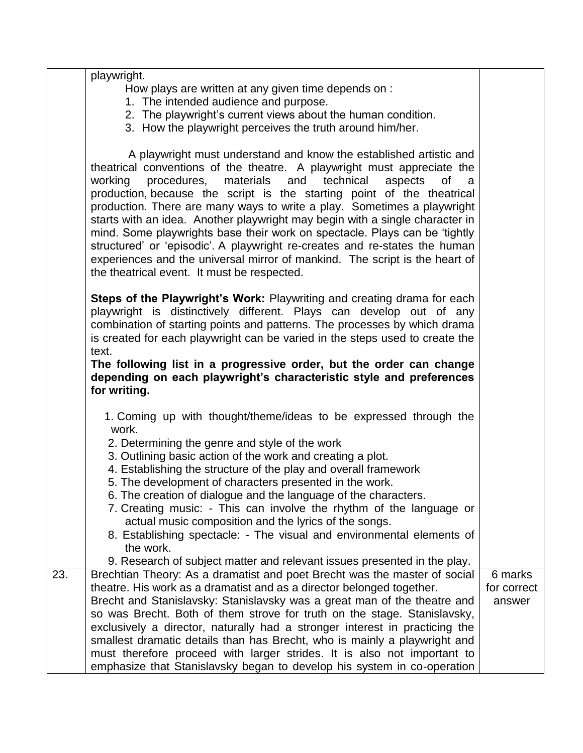|     | playwright.<br>How plays are written at any given time depends on :<br>1. The intended audience and purpose.<br>2. The playwright's current views about the human condition.<br>3. How the playwright perceives the truth around him/her.                                                                                                                                                                                                                                                                                                                                                                                                                                                                                                                  |                       |
|-----|------------------------------------------------------------------------------------------------------------------------------------------------------------------------------------------------------------------------------------------------------------------------------------------------------------------------------------------------------------------------------------------------------------------------------------------------------------------------------------------------------------------------------------------------------------------------------------------------------------------------------------------------------------------------------------------------------------------------------------------------------------|-----------------------|
|     | A playwright must understand and know the established artistic and<br>theatrical conventions of the theatre. A playwright must appreciate the<br>materials and<br>working<br>procedures,<br>technical<br>aspects<br>0f<br>a<br>production, because the script is the starting point of the theatrical<br>production. There are many ways to write a play. Sometimes a playwright<br>starts with an idea. Another playwright may begin with a single character in<br>mind. Some playwrights base their work on spectacle. Plays can be 'tightly<br>structured' or 'episodic'. A playwright re-creates and re-states the human<br>experiences and the universal mirror of mankind. The script is the heart of<br>the theatrical event. It must be respected. |                       |
|     | Steps of the Playwright's Work: Playwriting and creating drama for each<br>playwright is distinctively different. Plays can develop out of any<br>combination of starting points and patterns. The processes by which drama<br>is created for each playwright can be varied in the steps used to create the<br>text.<br>The following list in a progressive order, but the order can change<br>depending on each playwright's characteristic style and preferences<br>for writing.                                                                                                                                                                                                                                                                         |                       |
|     | 1. Coming up with thought/theme/ideas to be expressed through the<br>work.<br>2. Determining the genre and style of the work<br>3. Outlining basic action of the work and creating a plot.<br>4. Establishing the structure of the play and overall framework<br>5. The development of characters presented in the work.<br>6. The creation of dialogue and the language of the characters.<br>7. Creating music: - This can involve the rhythm of the language or<br>actual music composition and the lyrics of the songs.<br>8. Establishing spectacle: - The visual and environmental elements of<br>the work.<br>9. Research of subject matter and relevant issues presented in the play.                                                              |                       |
| 23. | Brechtian Theory: As a dramatist and poet Brecht was the master of social                                                                                                                                                                                                                                                                                                                                                                                                                                                                                                                                                                                                                                                                                  | 6 marks               |
|     | theatre. His work as a dramatist and as a director belonged together.<br>Brecht and Stanislavsky: Stanislavsky was a great man of the theatre and                                                                                                                                                                                                                                                                                                                                                                                                                                                                                                                                                                                                          | for correct<br>answer |
|     | so was Brecht. Both of them strove for truth on the stage. Stanislavsky,<br>exclusively a director, naturally had a stronger interest in practicing the<br>smallest dramatic details than has Brecht, who is mainly a playwright and<br>must therefore proceed with larger strides. It is also not important to<br>emphasize that Stanislavsky began to develop his system in co-operation                                                                                                                                                                                                                                                                                                                                                                 |                       |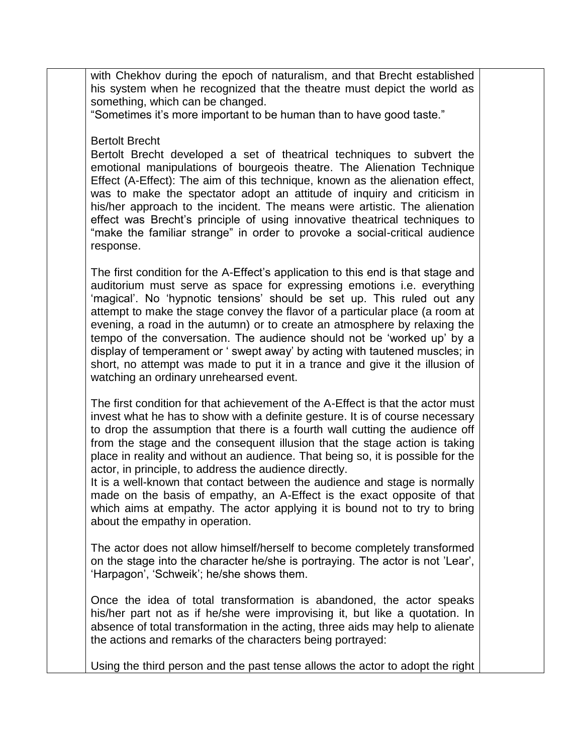with Chekhov during the epoch of naturalism, and that Brecht established his system when he recognized that the theatre must depict the world as something, which can be changed.

"Sometimes it's more important to be human than to have good taste."

### Bertolt Brecht

Bertolt Brecht developed a set of theatrical techniques to subvert the emotional manipulations of bourgeois theatre. The Alienation Technique Effect (A-Effect): The aim of this technique, known as the alienation effect, was to make the spectator adopt an attitude of inquiry and criticism in his/her approach to the incident. The means were artistic. The alienation effect was Brecht's principle of using innovative theatrical techniques to "make the familiar strange" in order to provoke a social-critical audience response.

The first condition for the A-Effect's application to this end is that stage and auditorium must serve as space for expressing emotions i.e. everything 'magical'. No 'hypnotic tensions' should be set up. This ruled out any attempt to make the stage convey the flavor of a particular place (a room at evening, a road in the autumn) or to create an atmosphere by relaxing the tempo of the conversation. The audience should not be 'worked up' by a display of temperament or ' swept away' by acting with tautened muscles; in short, no attempt was made to put it in a trance and give it the illusion of watching an ordinary unrehearsed event.

The first condition for that achievement of the A-Effect is that the actor must invest what he has to show with a definite gesture. It is of course necessary to drop the assumption that there is a fourth wall cutting the audience off from the stage and the consequent illusion that the stage action is taking place in reality and without an audience. That being so, it is possible for the actor, in principle, to address the audience directly.

It is a well-known that contact between the audience and stage is normally made on the basis of empathy, an A-Effect is the exact opposite of that which aims at empathy. The actor applying it is bound not to try to bring about the empathy in operation.

The actor does not allow himself/herself to become completely transformed on the stage into the character he/she is portraying. The actor is not 'Lear', 'Harpagon', 'Schweik'; he/she shows them.

Once the idea of total transformation is abandoned, the actor speaks his/her part not as if he/she were improvising it, but like a quotation. In absence of total transformation in the acting, three aids may help to alienate the actions and remarks of the characters being portrayed:

Using the third person and the past tense allows the actor to adopt the right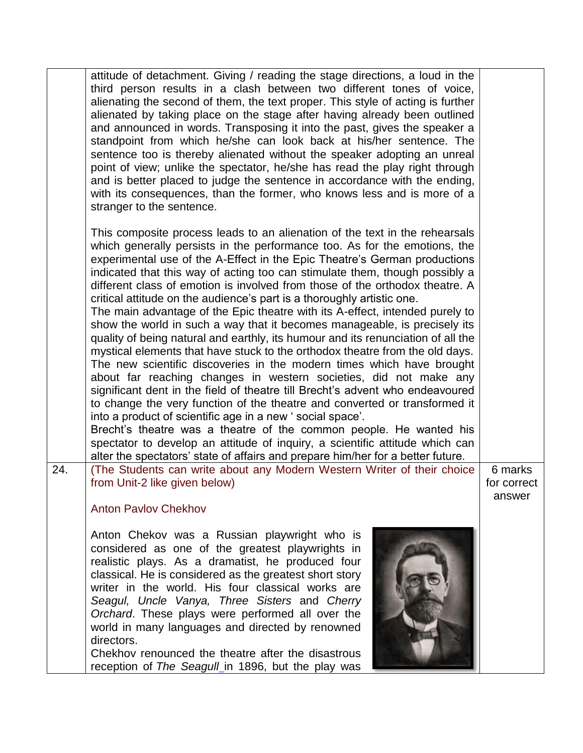|     | attitude of detachment. Giving / reading the stage directions, a loud in the<br>third person results in a clash between two different tones of voice,<br>alienating the second of them, the text proper. This style of acting is further<br>alienated by taking place on the stage after having already been outlined<br>and announced in words. Transposing it into the past, gives the speaker a<br>standpoint from which he/she can look back at his/her sentence. The<br>sentence too is thereby alienated without the speaker adopting an unreal<br>point of view; unlike the spectator, he/she has read the play right through<br>and is better placed to judge the sentence in accordance with the ending,<br>with its consequences, than the former, who knows less and is more of a<br>stranger to the sentence.                                                                                                                                                                                                                                                                                                                                                                                                                                                                                                                                                                                                           |                                  |
|-----|-------------------------------------------------------------------------------------------------------------------------------------------------------------------------------------------------------------------------------------------------------------------------------------------------------------------------------------------------------------------------------------------------------------------------------------------------------------------------------------------------------------------------------------------------------------------------------------------------------------------------------------------------------------------------------------------------------------------------------------------------------------------------------------------------------------------------------------------------------------------------------------------------------------------------------------------------------------------------------------------------------------------------------------------------------------------------------------------------------------------------------------------------------------------------------------------------------------------------------------------------------------------------------------------------------------------------------------------------------------------------------------------------------------------------------------|----------------------------------|
|     | This composite process leads to an alienation of the text in the rehearsals<br>which generally persists in the performance too. As for the emotions, the<br>experimental use of the A-Effect in the Epic Theatre's German productions<br>indicated that this way of acting too can stimulate them, though possibly a<br>different class of emotion is involved from those of the orthodox theatre. A<br>critical attitude on the audience's part is a thoroughly artistic one.<br>The main advantage of the Epic theatre with its A-effect, intended purely to<br>show the world in such a way that it becomes manageable, is precisely its<br>quality of being natural and earthly, its humour and its renunciation of all the<br>mystical elements that have stuck to the orthodox theatre from the old days.<br>The new scientific discoveries in the modern times which have brought<br>about far reaching changes in western societies, did not make any<br>significant dent in the field of theatre till Brecht's advent who endeavoured<br>to change the very function of the theatre and converted or transformed it<br>into a product of scientific age in a new ' social space'.<br>Brecht's theatre was a theatre of the common people. He wanted his<br>spectator to develop an attitude of inquiry, a scientific attitude which can<br>alter the spectators' state of affairs and prepare him/her for a better future. |                                  |
| 24. | (The Students can write about any Modern Western Writer of their choice<br>from Unit-2 like given below)<br><b>Anton Paylov Chekhov</b>                                                                                                                                                                                                                                                                                                                                                                                                                                                                                                                                                                                                                                                                                                                                                                                                                                                                                                                                                                                                                                                                                                                                                                                                                                                                                             | 6 marks<br>for correct<br>answer |
|     | Anton Chekov was a Russian playwright who is<br>considered as one of the greatest playwrights in<br>realistic plays. As a dramatist, he produced four<br>classical. He is considered as the greatest short story<br>writer in the world. His four classical works are<br>Seagul, Uncle Vanya, Three Sisters and Cherry<br>Orchard. These plays were performed all over the<br>world in many languages and directed by renowned<br>directors.<br>Chekhov renounced the theatre after the disastrous<br>reception of The Seagull_in 1896, but the play was                                                                                                                                                                                                                                                                                                                                                                                                                                                                                                                                                                                                                                                                                                                                                                                                                                                                            |                                  |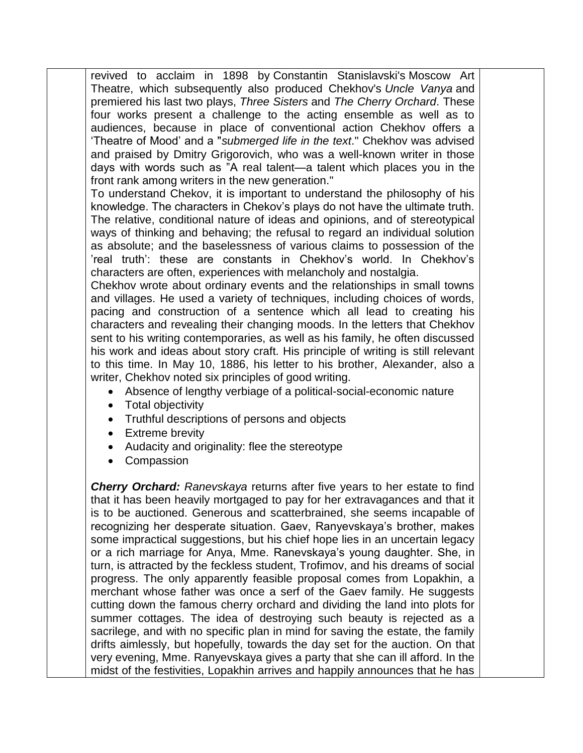revived to acclaim in 1898 by Constantin Stanislavski's Moscow Art Theatre, which subsequently also produced Chekhov's *Uncle Vanya* and premiered his last two plays, *Three Sisters* and *The Cherry Orchard*. These four works present a challenge to the acting ensemble as well as to audiences, because in place of conventional action Chekhov offers a 'Theatre of Mood' and a "*submerged life in the text*." Chekhov was advised and praised by Dmitry Grigorovich, who was a well-known writer in those days with words such as "A real talent—a talent which places you in the front rank among writers in the new generation."

To understand Chekov, it is important to understand the philosophy of his knowledge. The characters in Chekov's plays do not have the ultimate truth. The relative, conditional nature of ideas and opinions, and of stereotypical ways of thinking and behaving; the refusal to regard an individual solution as absolute; and the baselessness of various claims to possession of the 'real truth': these are constants in Chekhov's world. In Chekhov's characters are often, experiences with melancholy and nostalgia.

Chekhov wrote about ordinary events and the relationships in small towns and villages. He used a variety of techniques, including choices of words, pacing and construction of a sentence which all lead to creating his characters and revealing their changing moods. In the letters that Chekhov sent to his writing contemporaries, as well as his family, he often discussed his work and ideas about story craft. His principle of writing is still relevant to this time. In May 10, 1886, his letter to his brother, Alexander, also a writer, Chekhov noted six principles of good writing.

- Absence of lengthy verbiage of a political-social-economic nature
- Total objectivity
- Truthful descriptions of persons and objects
- Extreme brevity
- Audacity and originality: flee the stereotype
- Compassion

*Cherry Orchard: Ranevskaya* returns after five years to her estate to find that it has been heavily mortgaged to pay for her extravagances and that it is to be auctioned. Generous and scatterbrained, she seems incapable of recognizing her desperate situation. Gaev, Ranyevskaya's brother, makes some impractical suggestions, but his chief hope lies in an uncertain legacy or a rich marriage for Anya, Mme. Ranevskaya's young daughter. She, in turn, is attracted by the feckless student, Trofimov, and his dreams of social progress. The only apparently feasible proposal comes from Lopakhin, a merchant whose father was once a serf of the Gaev family. He suggests cutting down the famous cherry orchard and dividing the land into plots for summer cottages. The idea of destroying such beauty is rejected as a sacrilege, and with no specific plan in mind for saving the estate, the family drifts aimlessly, but hopefully, towards the day set for the auction. On that very evening, Mme. Ranyevskaya gives a party that she can ill afford. In the midst of the festivities, Lopakhin arrives and happily announces that he has